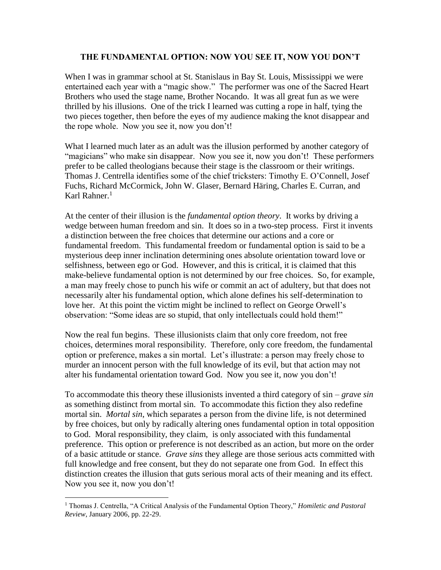## **THE FUNDAMENTAL OPTION: NOW YOU SEE IT, NOW YOU DON'T**

When I was in grammar school at St. Stanislaus in Bay St. Louis, Mississippi we were entertained each year with a "magic show." The performer was one of the Sacred Heart Brothers who used the stage name, Brother Nocando. It was all great fun as we were thrilled by his illusions. One of the trick I learned was cutting a rope in half, tying the two pieces together, then before the eyes of my audience making the knot disappear and the rope whole. Now you see it, now you don't!

What I learned much later as an adult was the illusion performed by another category of "magicians" who make sin disappear. Now you see it, now you don't! These performers prefer to be called theologians because their stage is the classroom or their writings. Thomas J. Centrella identifies some of the chief tricksters: Timothy E. O'Connell, Josef Fuchs, Richard McCormick, John W. Glaser, Bernard Häring, Charles E. Curran, and Karl Rahner. $<sup>1</sup>$ </sup>

At the center of their illusion is the *fundamental option theory*. It works by driving a wedge between human freedom and sin. It does so in a two-step process. First it invents a distinction between the free choices that determine our actions and a core or fundamental freedom. This fundamental freedom or fundamental option is said to be a mysterious deep inner inclination determining ones absolute orientation toward love or selfishness, between ego or God. However, and this is critical, it is claimed that this make-believe fundamental option is not determined by our free choices. So, for example, a man may freely chose to punch his wife or commit an act of adultery, but that does not necessarily alter his fundamental option, which alone defines his self-determination to love her. At this point the victim might be inclined to reflect on George Orwell's observation: "Some ideas are so stupid, that only intellectuals could hold them!"

Now the real fun begins. These illusionists claim that only core freedom, not free choices, determines moral responsibility. Therefore, only core freedom, the fundamental option or preference, makes a sin mortal. Let's illustrate: a person may freely chose to murder an innocent person with the full knowledge of its evil, but that action may not alter his fundamental orientation toward God. Now you see it, now you don't!

To accommodate this theory these illusionists invented a third category of sin – *grave sin*  as something distinct from mortal sin. To accommodate this fiction they also redefine mortal sin. *Mortal sin*, which separates a person from the divine life, is not determined by free choices, but only by radically altering ones fundamental option in total opposition to God. Moral responsibility, they claim, is only associated with this fundamental preference. This option or preference is not described as an action, but more on the order of a basic attitude or stance. *Grave sins* they allege are those serious acts committed with full knowledge and free consent, but they do not separate one from God. In effect this distinction creates the illusion that guts serious moral acts of their meaning and its effect. Now you see it, now you don't!

 $\overline{a}$ 

<sup>1</sup> Thomas J. Centrella, "A Critical Analysis of the Fundamental Option Theory," *Homiletic and Pastoral Review*, January 2006, pp. 22-29.